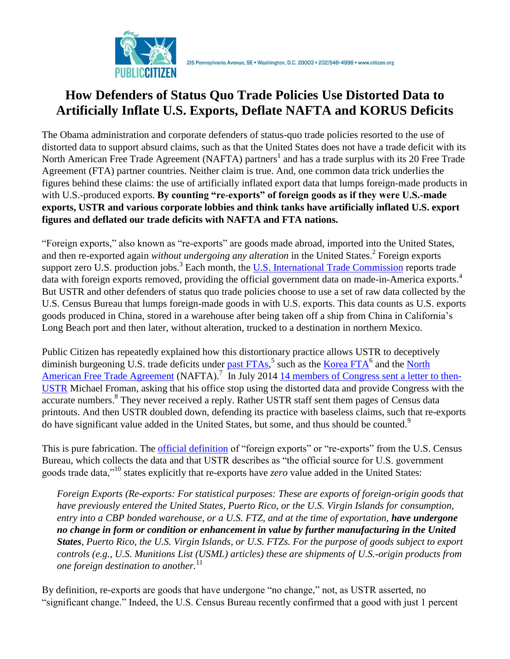

# **How Defenders of Status Quo Trade Policies Use Distorted Data to Artificially Inflate U.S. Exports, Deflate NAFTA and KORUS Deficits**

The Obama administration and corporate defenders of status-quo trade policies resorted to the use of distorted data to support absurd claims, such as that the United States does not have a trade deficit with its North American Free Trade Agreement (NAFTA) partners<sup>1</sup> and has a trade surplus with its 20 Free Trade Agreement (FTA) partner countries. Neither claim is true. And, one common data trick underlies the figures behind these claims: the use of artificially inflated export data that lumps foreign-made products in with U.S.-produced exports. **By counting "re-exports" of foreign goods as if they were U.S.-made exports, USTR and various corporate lobbies and think tanks have artificially inflated U.S. export figures and deflated our trade deficits with NAFTA and FTA nations.**

"Foreign exports," also known as "re-exports" are goods made abroad, imported into the United States, and then re-exported again *without undergoing any alteration* in the United States.<sup>2</sup> Foreign exports support zero U.S. production jobs.<sup>3</sup> Each month, the [U.S. International Trade Commission](http://dataweb.usitc.gov/) reports trade data with foreign exports removed, providing the official government data on made-in-America exports.<sup>4</sup> But USTR and other defenders of status quo trade policies choose to use a set of raw data collected by the U.S. Census Bureau that lumps foreign-made goods in with U.S. exports. This data counts as U.S. exports goods produced in China, stored in a warehouse after being taken off a ship from China in California's Long Beach port and then later, without alteration, trucked to a destination in northern Mexico.

Public Citizen has repeatedly explained how this distortionary practice allows USTR to deceptively diminish burgeoning U.S. trade deficits under [past FTAs,](http://citizen.typepad.com/eyesontrade/2014/09/chamber-of-commerce-uses-weird-facts-claims-a-106-billion-trade-deficit-isnt-there.html)<sup>5</sup> such as the [Korea FTA](http://www.citizen.org/documents/Korea-FTA-USTR-data-debunk.pdf)<sup>6</sup> and the North [American Free Trade Agreement](http://www.citizen.org/documents/NAFTA-USTR-data-debunk.pdf) (NAFTA).<sup>7</sup> In July 2014 [14 members of Congress sent a letter](http://www.citizen.org/documents/Tonko-USTR-letter-July-10.pdf) to then-[USTR](http://www.citizen.org/documents/Tonko-USTR-letter-July-10.pdf) Michael Froman, asking that his office stop using the distorted data and provide Congress with the accurate numbers.<sup>8</sup> They never received a reply. Rather USTR staff sent them pages of Census data printouts. And then USTR doubled down, defending its practice with baseless claims, such that re-exports do have significant value added in the United States, but some, and thus should be counted.<sup>9</sup>

This is pure fabrication. The *official definition* of "foreign exports" or "re-exports" from the U.S. Census Bureau, which collects the data and that USTR describes as "the official source for U.S. government goods trade data,"<sup>10</sup> states explicitly that re-exports have *zero* value added in the United States:

*Foreign Exports (Re-exports: For statistical purposes: These are exports of foreign-origin goods that have previously entered the United States, Puerto Rico, or the U.S. Virgin Islands for consumption, entry into a CBP bonded warehouse, or a U.S. FTZ, and at the time of exportation, have undergone no change in form or condition or enhancement in value by further manufacturing in the United States, Puerto Rico, the U.S. Virgin Islands, or U.S. FTZs. For the purpose of goods subject to export controls (e.g., U.S. Munitions List (USML) articles) these are shipments of U.S.-origin products from one foreign destination to another.*<sup>11</sup>

By definition, re-exports are goods that have undergone "no change," not, as USTR asserted, no "significant change." Indeed, the U.S. Census Bureau recently confirmed that a good with just 1 percent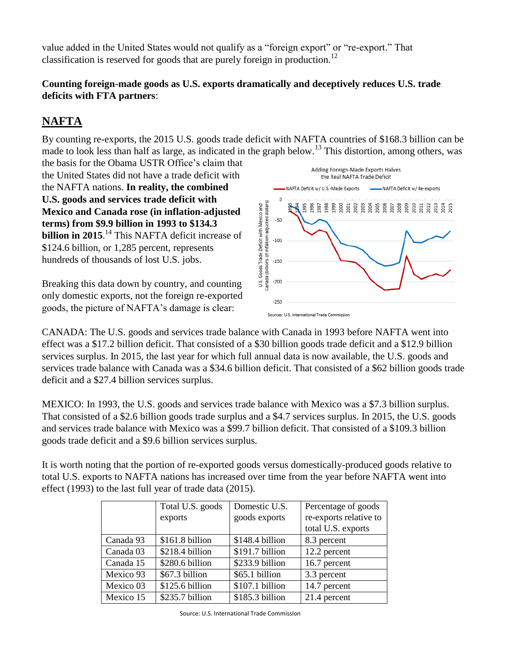value added in the United States would not qualify as a "foreign export" or "re-export." That classification is reserved for goods that are purely foreign in production.<sup>12</sup>

#### **Counting foreign-made goods as U.S. exports dramatically and deceptively reduces U.S. trade deficits with FTA partners**:

## **NAFTA**

By counting re-exports, the 2015 U.S. goods trade deficit with NAFTA countries of \$168.3 billion can be made to look less than half as large, as indicated in the graph below.<sup>13</sup> This distortion, among others, was

the basis for the Obama USTR Office's claim that the United States did not have a trade deficit with the NAFTA nations. **In reality, the combined U.S. goods and services trade deficit with Mexico and Canada rose (in inflation-adjusted terms) from \$9.9 billion in 1993 to \$134.3 billion in 2015**. <sup>14</sup> This NAFTA deficit increase of \$124.6 billion, or 1,285 percent, represents hundreds of thousands of lost U.S. jobs.

Breaking this data down by country, and counting only domestic exports, not the foreign re-exported goods, the picture of NAFTA's damage is clear:



CANADA: The U.S. goods and services trade balance with Canada in 1993 before NAFTA went into effect was a \$17.2 billion deficit. That consisted of a \$30 billion goods trade deficit and a \$12.9 billion services surplus. In 2015, the last year for which full annual data is now available, the U.S. goods and services trade balance with Canada was a \$34.6 billion deficit. That consisted of a \$62 billion goods trade deficit and a \$27.4 billion services surplus.

MEXICO: In 1993, the U.S. goods and services trade balance with Mexico was a \$7.3 billion surplus. That consisted of a \$2.6 billion goods trade surplus and a \$4.7 services surplus. In 2015, the U.S. goods and services trade balance with Mexico was a \$99.7 billion deficit. That consisted of a \$109.3 billion goods trade deficit and a \$9.6 billion services surplus.

It is worth noting that the portion of re-exported goods versus domestically-produced goods relative to total U.S. exports to NAFTA nations has increased over time from the year before NAFTA went into effect (1993) to the last full year of trade data (2015).

|           | Total U.S. goods | Domestic U.S.   | Percentage of goods    |  |
|-----------|------------------|-----------------|------------------------|--|
| exports   |                  | goods exports   | re-exports relative to |  |
|           |                  |                 | total U.S. exports     |  |
| Canada 93 | \$161.8 billion  | \$148.4 billion | 8.3 percent            |  |
| Canada 03 | \$218.4 billion  | \$191.7 billion | 12.2 percent           |  |
| Canada 15 | \$280.6 billion  | \$233.9 billion | 16.7 percent           |  |
| Mexico 93 | \$67.3 billion   | \$65.1 billion  | 3.3 percent            |  |
| Mexico 03 | \$125.6 billion  | \$107.1 billion | 14.7 percent           |  |
| Mexico 15 | \$235.7 billion  | \$185.3 billion | 21.4 percent           |  |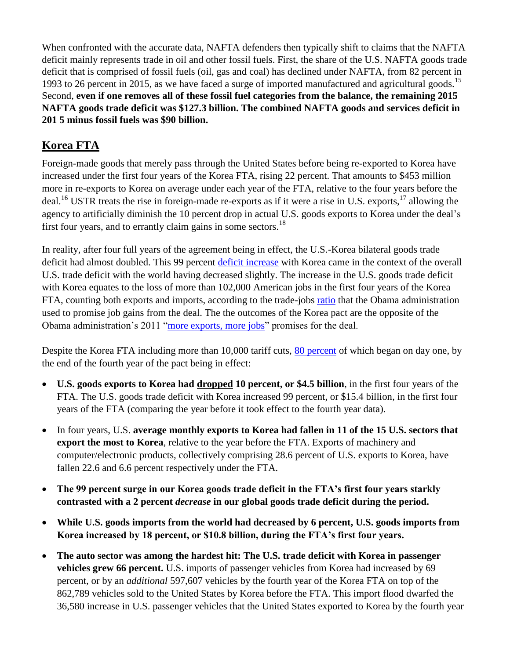When confronted with the accurate data, NAFTA defenders then typically shift to claims that the NAFTA deficit mainly represents trade in oil and other fossil fuels. First, the share of the U.S. NAFTA goods trade deficit that is comprised of fossil fuels (oil, gas and coal) has declined under NAFTA, from 82 percent in 1993 to 26 percent in 2015, as we have faced a surge of imported manufactured and agricultural goods.<sup>15</sup> Second, **even if one removes all of these fossil fuel categories from the balance, the remaining 2015 NAFTA goods trade deficit was \$127.3 billion. The combined NAFTA goods and services deficit in 201 5 minus fossil fuels was \$90 billion.** 

### **Korea FTA**

Foreign-made goods that merely pass through the United States before being re-exported to Korea have increased under the first four years of the Korea FTA, rising 22 percent. That amounts to \$453 million more in re-exports to Korea on average under each year of the FTA, relative to the four years before the deal.<sup>16</sup> USTR treats the rise in foreign-made re-exports as if it were a rise in U.S. exports,<sup>17</sup> allowing the agency to artificially diminish the 10 percent drop in actual U.S. goods exports to Korea under the deal's first four years, and to errantly claim gains in some sectors.<sup>18</sup>

In reality, after four full years of the agreement being in effect, the U.S.-Korea bilateral goods trade deficit had almost doubled. This 99 percent [deficit increase](http://www.census.gov/foreign-trade/data/index.html) with Korea came in the context of the overall U.S. trade deficit with the world having decreased slightly. The increase in the U.S. goods trade deficit with Korea equates to the loss of more than 102,000 American jobs in the first four years of the Korea FTA, counting both exports and imports, according to the trade-jobs [ratio](http://trade.gov/publications/pdfs/exports-support-american-jobs.pdf) that the Obama administration used to promise job gains from the deal. The the outcomes of the Korea pact are the opposite of the Obama administration's 2011 ["more exports, more jobs"](https://ustr.gov/uskoreaFTA) promises for the deal.

Despite the Korea FTA including more than 10,000 tariff cuts, [80 percent](http://waysandmeans.house.gov/UploadedFiles/KORUS_Fact_Sheet_July_2011.pdf) of which began on day one, by the end of the fourth year of the pact being in effect:

- **U.S. goods exports to Korea had dropped 10 percent, or \$4.5 billion**, in the first four years of the FTA. The U.S. goods trade deficit with Korea increased 99 percent, or \$15.4 billion, in the first four years of the FTA (comparing the year before it took effect to the fourth year data).
- In four years, U.S. **average monthly exports to Korea had fallen in 11 of the 15 U.S. sectors that export the most to Korea**, relative to the year before the FTA. Exports of machinery and computer/electronic products, collectively comprising 28.6 percent of U.S. exports to Korea, have fallen 22.6 and 6.6 percent respectively under the FTA.
- **The 99 percent surge in our Korea goods trade deficit in the FTA's first four years starkly contrasted with a 2 percent** *decrease* **in our global goods trade deficit during the period.**
- **While U.S. goods imports from the world had decreased by 6 percent, U.S. goods imports from Korea increased by 18 percent, or \$10.8 billion, during the FTA's first four years.**
- **The auto sector was among the hardest hit: The U.S. trade deficit with Korea in passenger vehicles grew 66 percent.** U.S. imports of passenger vehicles from Korea had increased by 69 percent, or by an *additional* 597,607 vehicles by the fourth year of the Korea FTA on top of the 862,789 vehicles sold to the United States by Korea before the FTA. This import flood dwarfed the 36,580 increase in U.S. passenger vehicles that the United States exported to Korea by the fourth year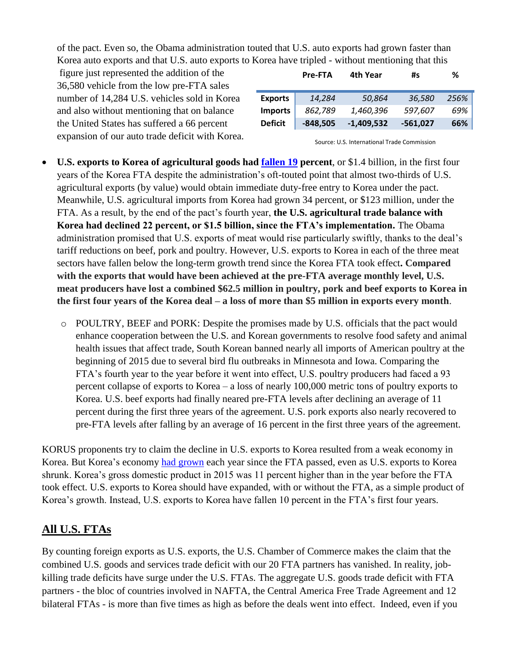of the pact. Even so, the Obama administration touted that U.S. auto exports had grown faster than Korea auto exports and that U.S. auto exports to Korea have tripled - without mentioning that this

figure just represented the addition of the 36,580 vehicle from the low pre-FTA sales number of 14,284 U.S. vehicles sold in Korea and also without mentioning that on balance the United States has suffered a 66 percent expansion of our auto trade deficit with Korea.

|                | <b>Pre-FTA</b> | 4th Year     | #s         | ℅    |
|----------------|----------------|--------------|------------|------|
| <b>Exports</b> | 14,284         | 50,864       | 36,580     | 256% |
| <b>Imports</b> | 862,789        | 1,460,396    | 597,607    | 69%  |
| <b>Deficit</b> | $-848,505$     | $-1,409,532$ | $-561,027$ | 66%  |

Source: U.S. International Trade Commission

- **U.S. exports to Korea of agricultural goods had [fallen](http://apps.fas.usda.gov/gats/default.aspx) 19 percent**, or \$1.4 billion, in the first four years of the Korea FTA despite the administration's oft-touted point that almost two-thirds of U.S. agricultural exports (by value) would obtain immediate duty-free entry to Korea under the pact. Meanwhile, U.S. agricultural imports from Korea had grown 34 percent, or \$123 million, under the FTA. As a result, by the end of the pact's fourth year, **the U.S. agricultural trade balance with Korea had declined 22 percent, or \$1.5 billion, since the FTA's implementation.** The Obama administration promised that U.S. exports of meat would rise particularly swiftly, thanks to the deal's tariff reductions on beef, pork and poultry. However, U.S. exports to Korea in each of the three meat sectors have fallen below the long-term growth trend since the Korea FTA took effect**. Compared with the exports that would have been achieved at the pre-FTA average monthly level, U.S. meat producers have lost a combined \$62.5 million in poultry, pork and beef exports to Korea in the first four years of the Korea deal – a loss of more than \$5 million in exports every month**.
	- o POULTRY, BEEF and PORK: Despite the promises made by U.S. officials that the pact would enhance cooperation between the U.S. and Korean governments to resolve food safety and animal health issues that affect trade, South Korean banned nearly all imports of American poultry at the beginning of 2015 due to several bird flu outbreaks in Minnesota and Iowa. Comparing the FTA's fourth year to the year before it went into effect, U.S. poultry producers had faced a 93 percent collapse of exports to Korea – a loss of nearly 100,000 metric tons of poultry exports to Korea. U.S. beef exports had finally neared pre-FTA levels after declining an average of 11 percent during the first three years of the agreement. U.S. pork exports also nearly recovered to pre-FTA levels after falling by an average of 16 percent in the first three years of the agreement.

KORUS proponents try to claim the decline in U.S. exports to Korea resulted from a weak economy in Korea. But Korea's economy [had grown](http://databank.worldbank.org/) each year since the FTA passed, even as U.S. exports to Korea shrunk. Korea's gross domestic product in 2015 was 11 percent higher than in the year before the FTA took effect. U.S. exports to Korea should have expanded, with or without the FTA, as a simple product of Korea's growth. Instead, U.S. exports to Korea have fallen 10 percent in the FTA's first four years.

#### **All U.S. FTAs**

By counting foreign exports as U.S. exports, the U.S. Chamber of Commerce makes the claim that the combined U.S. goods and services trade deficit with our 20 FTA partners has vanished. In reality, jobkilling trade deficits have surge under the U.S. FTAs. The aggregate U.S. goods trade deficit with FTA partners - the bloc of countries involved in NAFTA, the Central America Free Trade Agreement and 12 bilateral FTAs - is more than five times as high as before the deals went into effect. Indeed, even if you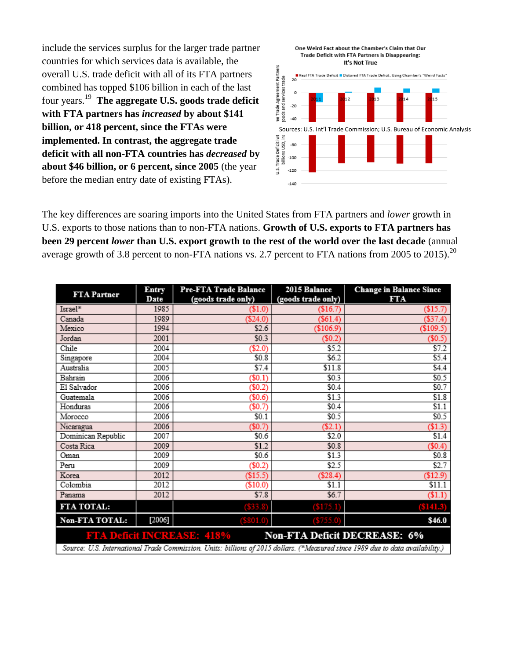include the services surplus for the larger trade partner countries for which services data is available, the overall U.S. trade deficit with all of its FTA partners combined has topped \$106 billion in each of the last four years. <sup>19</sup> **The aggregate U.S. goods trade deficit with FTA partners has** *increased* **by about \$141 billion, or 418 percent, since the FTAs were implemented. In contrast, the aggregate trade deficit with all non-FTA countries has** *decreased* **by about \$46 billion, or 6 percent, since 2005** (the year before the median entry date of existing FTAs).



The key differences are soaring imports into the United States from FTA partners and *lower* growth in U.S. exports to those nations than to non-FTA nations. **Growth of U.S. exports to FTA partners has been 29 percent** *lower* **than U.S. export growth to the rest of the world over the last decade** (annual average growth of 3.8 percent to non-FTA nations vs. 2.7 percent to FTA nations from 2005 to 2015).<sup>20</sup>

| <b>FTA Partner</b>                                                                                                             | Entry<br>Date | Pre-FTA Trade Balance<br>(goods trade only) | 2015 Balance<br>(goods trade only) | <b>Change in Balance Since</b><br>FTA |  |  |
|--------------------------------------------------------------------------------------------------------------------------------|---------------|---------------------------------------------|------------------------------------|---------------------------------------|--|--|
| Israel*                                                                                                                        | 1985          | $\$1.0)$                                    | (S16.7)                            | $(\$15.7)$                            |  |  |
| Canada                                                                                                                         | 1989          | (\$24.0)                                    | (\$61.4)                           | (\$37.4)                              |  |  |
| Mexico                                                                                                                         | 1994          | \$2.6                                       | (\$106.9)                          | \$109.5                               |  |  |
| Jordan                                                                                                                         | 2001          | \$0.3                                       | $(\$0.2)$                          | $(\$0.5)$                             |  |  |
| Chile                                                                                                                          | 2004          | (\$2.0)                                     | \$5.2                              | \$7.2                                 |  |  |
| Singapore                                                                                                                      | 2004          | \$0.8                                       | \$6.2                              | \$5.4                                 |  |  |
| Australia                                                                                                                      | 2005          | \$7.4                                       | \$11.8                             | \$4.4                                 |  |  |
| Bahrain                                                                                                                        | 2006          | (\$0.1)                                     | \$0.3                              | \$0.5                                 |  |  |
| El Salvador                                                                                                                    | 2006          | $(\$0.2)$                                   | \$0.4                              | \$0.7                                 |  |  |
| Guatemala                                                                                                                      | 2006          | (\$0.6)                                     | \$1.3                              | \$1.8                                 |  |  |
| Honduras                                                                                                                       | 2006          | (\$0.7                                      | \$0.4                              | \$1.1                                 |  |  |
| Morocco                                                                                                                        | 2006          | \$0.1                                       | \$0.5                              | \$0.5                                 |  |  |
| Nicaragua                                                                                                                      | 2006          | (\$0.7)                                     | (52.1)                             | \$1.3)                                |  |  |
| Dominican Republic                                                                                                             | 2007          | \$0.6                                       | \$2.0                              | \$1.4                                 |  |  |
| Costa Rica                                                                                                                     | 2009          | \$1.2                                       | \$0.8                              | \$0.4                                 |  |  |
| Oman                                                                                                                           | 2009          | \$0.6                                       | \$1.3                              | \$0.8                                 |  |  |
| Peru                                                                                                                           | 2009          | $(\$0.2)$                                   | \$2.5                              | \$2.7                                 |  |  |
| Korea                                                                                                                          | 2012          | (\$15.5)                                    | (S28.4)                            | (\$12.9)                              |  |  |
| Colombia                                                                                                                       | 2012          | (\$10.0)                                    | \$1.1                              | \$11.1                                |  |  |
| Panama                                                                                                                         | 2012          | \$7.8                                       | \$6.7                              | \$1.1)                                |  |  |
| FTA TOTAL:                                                                                                                     |               | (533.8)                                     | <b>(\$175.1)</b>                   | <b>(\$141.3)</b>                      |  |  |
| Non-FTA TOTAL:                                                                                                                 | [2006]        | (\$801.0)                                   | (\$755.0)                          | \$46.0                                |  |  |
| <b>FTA Deficit INCREASE: 418%</b><br><b>Non-FTA Deficit DECREASE: 6%</b>                                                       |               |                                             |                                    |                                       |  |  |
| Source: U.S. International Trade Commission. Units: billions of 2015 dollars. (*Measured since 1989 due to data availability.) |               |                                             |                                    |                                       |  |  |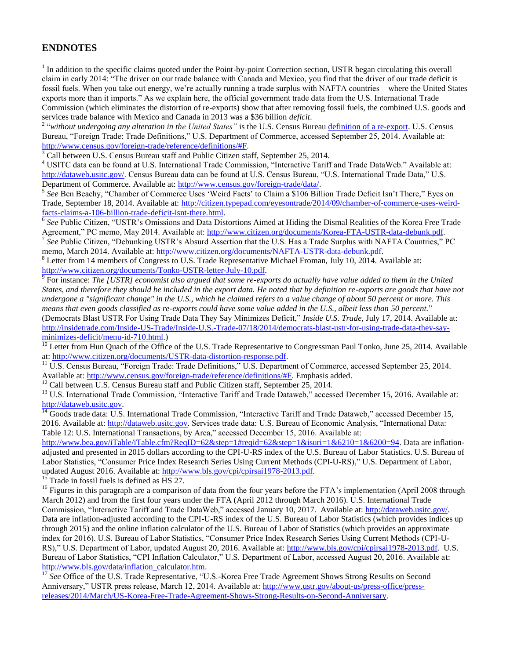#### **ENDNOTES**

 $\overline{a}$ 

1 In addition to the specific claims quoted under the Point-by-point Correction section, USTR began circulating this overall claim in early 2014: "The driver on our trade balance with Canada and Mexico, you find that the driver of our trade deficit is fossil fuels. When you take out energy, we're actually running a trade surplus with NAFTA countries – where the United States exports more than it imports." As we explain here, the official government trade data from the U.S. International Trade Commission (which eliminates the distortion of re-exports) show that after removing fossil fuels, the combined U.S. goods and services trade balance with Mexico and Canada in 2013 was a \$36 billion *deficit*.

<sup>2</sup> "without undergoing any alteration in the United States" is the U.S. Census Bureau [definition](https://www.census.gov/foreign-trade/reference/definitions/#F) of a re-export. U.S. Census Bureau, "Foreign Trade: Trade Definitions," U.S. Department of Commerce, accessed September 25, 2014. Available at: [http://www.census.gov/foreign-trade/reference/definitions/#F.](http://www.census.gov/foreign-trade/reference/definitions/#F)

<sup>3</sup> Call between U.S. Census Bureau staff and Public Citizen staff, September 25, 2014.

<sup>4</sup> USITC data can be found at U.S. International Trade Commission, "Interactive Tariff and Trade DataWeb." Available at: [http://dataweb.usitc.gov/.](http://dataweb.usitc.gov/) Census Bureau data can be found at U.S. Census Bureau, "U.S. International Trade Data," U.S. Department of Commerce. Available at[: http://www.census.gov/foreign-trade/data/.](http://www.census.gov/foreign-trade/data/)

<sup>5</sup> See Ben Beachy, "Chamber of Commerce Uses 'Weird Facts' to Claim a \$106 Billion Trade Deficit Isn't There," Eyes on Trade, September 18, 2014. Available at: [http://citizen.typepad.com/eyesontrade/2014/09/chamber-of-commerce-uses-weird](http://citizen.typepad.com/eyesontrade/2014/09/chamber-of-commerce-uses-weird-facts-claims-a-106-billion-trade-deficit-isnt-there.html)[facts-claims-a-106-billion-trade-deficit-isnt-there.html.](http://citizen.typepad.com/eyesontrade/2014/09/chamber-of-commerce-uses-weird-facts-claims-a-106-billion-trade-deficit-isnt-there.html) 

<sup>6</sup> See Public Citizen, "USTR's Omissions and Data Distortions Aimed at Hiding the Dismal Realities of the Korea Free Trade Agreement," PC memo, May 2014. Available at: [http://www.citizen.org/documents/Korea-FTA-USTR-data-debunk.pdf.](http://www.citizen.org/documents/Korea-FTA-USTR-data-debunk.pdf)

<sup>7</sup> See Public Citizen, "Debunking USTR's Absurd Assertion that the U.S. Has a Trade Surplus with NAFTA Countries," PC memo, March 2014. Available at: [http://www.citizen.org/documents/NAFTA-USTR-data-debunk.pdf.](http://www.citizen.org/documents/NAFTA-USTR-data-debunk.pdf)

<sup>8</sup> Letter from 14 members of Congress to U.S. Trade Representative Michael Froman, July 10, 2014. Available at: [http://www.citizen.org/documents/Tonko-USTR-letter-July-10.pdf.](http://www.citizen.org/documents/Tonko-USTR-letter-July-10.pdf)

9 For instance: *The [USTR] economist also argued that some re-exports do actually have value added to them in the United States, and therefore they should be included in the export data. He noted that by definition re-exports are goods that have not undergone a "significant change" in the U.S., which he claimed refers to a value change of about 50 percent or more. This means that even goods classified as re-exports could have some value added in the U.S., albeit less than 50 percent.*" (Democrats Blast USTR For Using Trade Data They Say Minimizes Deficit," *Inside U.S. Trade*, July 17, 2014. Available at: [http://insidetrade.com/Inside-US-Trade/Inside-U.S.-Trade-07/18/2014/democrats-blast-ustr-for-using-trade-data-they-say](http://insidetrade.com/Inside-US-Trade/Inside-U.S.-Trade-07/18/2014/democrats-blast-ustr-for-using-trade-data-they-say-minimizes-deficit/menu-id-710.html)[minimizes-deficit/menu-id-710.html.](http://insidetrade.com/Inside-US-Trade/Inside-U.S.-Trade-07/18/2014/democrats-blast-ustr-for-using-trade-data-they-say-minimizes-deficit/menu-id-710.html))

 $^{10}$  Letter from Hun Quach of the Office of the U.S. Trade Representative to Congressman Paul Tonko, June 25, 2014. Available at: [http://www.citizen.org/documents/USTR-data-distortion-response.pdf.](http://www.citizen.org/documents/USTR-data-distortion-response.pdf)

 $11$  U.S. Census Bureau, "Foreign Trade: Trade Definitions," U.S. Department of Commerce, accessed September 25, 2014. Available at: [http://www.census.gov/foreign-trade/reference/definitions/#F.](http://www.census.gov/foreign-trade/reference/definitions/#F) Emphasis added.

<sup>12</sup> Call between U.S. Census Bureau staff and Public Citizen staff, September 25, 2014.

<sup>13</sup> U.S. International Trade Commission, "Interactive Tariff and Trade Dataweb," accessed December 15, 2016. Available at: [http://dataweb.usitc.gov.](http://dataweb.usitc.gov/)

 $\overline{14}$  Goods trade data: U.S. International Trade Commission, "Interactive Tariff and Trade Dataweb," accessed December 15, 2016. Available at: [http://dataweb.usitc.gov.](http://dataweb.usitc.gov/) Services trade data: U.S. Bureau of Economic Analysis, "International Data: Table 12: U.S. International Transactions, by Area," accessed December 15, 2016. Available at:

[http://www.bea.gov/iTable/iTable.cfm?ReqID=62&step=1#reqid=62&step=1&isuri=1&6210=1&6200=94.](http://www.bea.gov/iTable/iTable.cfm?ReqID=62&step=1#reqid=62&step=1&isuri=1&6210=1&6200=94) Data are inflationadjusted and presented in 2015 dollars according to the CPI-U-RS index of the U.S. Bureau of Labor Statistics. U.S. Bureau of Labor Statistics, "Consumer Price Index Research Series Using Current Methods (CPI-U-RS)," U.S. Department of Labor, updated August 2016. Available at: [http://www.bls.gov/cpi/cpirsai1978-2013.pdf.](http://www.bls.gov/cpi/cpirsai1978-2013.pdf)

<sup>15</sup> Trade in fossil fuels is defined as HS 27.

<sup>16</sup> Figures in this paragraph are a comparison of data from the four years before the FTA's implementation (April 2008 through March 2012) and from the first four years under the FTA (April 2012 through March 2016). U.S. International Trade Commission, "Interactive Tariff and Trade DataWeb," accessed January 10, 2017. Available at: [http://dataweb.usitc.gov/.](http://dataweb.usitc.gov/) Data are inflation-adjusted according to the CPI-U-RS index of the U.S. Bureau of Labor Statistics (which provides indices up through 2015) and the online inflation calculator of the U.S. Bureau of Labor of Statistics (which provides an approximate index for 2016). U.S. Bureau of Labor Statistics, "Consumer Price Index Research Series Using Current Methods (CPI-U-RS)," U.S. Department of Labor, updated August 20, 2016. Available at: [http://www.bls.gov/cpi/cpirsai1978-2013.pdf.](http://www.bls.gov/cpi/cpirsai1978-2013.pdf) U.S. Bureau of Labor Statistics, "CPI Inflation Calculator," U.S. Department of Labor, accessed August 20, 2016. Available at: [http://www.bls.gov/data/inflation\\_calculator.htm.](http://www.bls.gov/data/inflation_calculator.htm)

<sup>17</sup> *See* Office of the U.S. Trade Representative, "U.S.-Korea Free Trade Agreement Shows Strong Results on Second Anniversary," USTR press release, March 12, 2014. Available at: [http://www.ustr.gov/about-us/press-office/press](http://www.ustr.gov/about-us/press-office/press-releases/2014/March/US-Korea-Free-Trade-Agreement-Shows-Strong-Results-on-Second-Anniversary)[releases/2014/March/US-Korea-Free-Trade-Agreement-Shows-Strong-Results-on-Second-Anniversary.](http://www.ustr.gov/about-us/press-office/press-releases/2014/March/US-Korea-Free-Trade-Agreement-Shows-Strong-Results-on-Second-Anniversary)